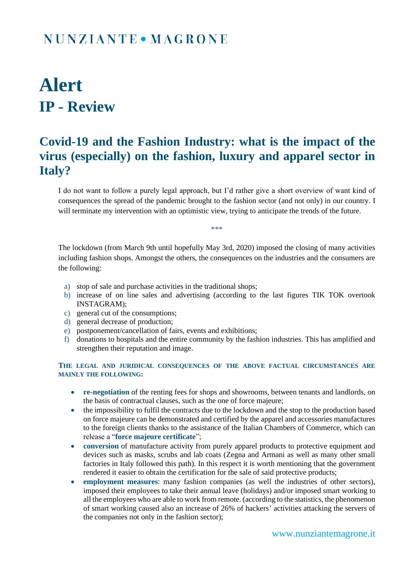### NUNZIANTE • MAGRONE

# **Alert IP - Review**

#### **Covid-19 and the Fashion Industry: what is the impact of the virus (especially) on the fashion, luxury and apparel sector in Italy?**

I do not want to follow a purely legal approach, but I'd rather give a short overview of want kind of consequences the spread of the pandemic brought to the fashion sector (and not only) in our country. I will terminate my intervention with an optimistic view, trying to anticipate the trends of the future.

\*\*\*

The lockdown (from March 9th until hopefully May 3rd, 2020) imposed the closing of many activities including fashion shops. Amongst the others, the consequences on the industries and the consumers are the following:

- a) stop of sale and purchase activities in the traditional shops;
- b) increase of on line sales and advertising (according to the last figures TIK TOK overtook INSTAGRAM);
- c) general cut of the consumptions;
- d) general decrease of production;
- e) postponement/cancellation of fairs, events and exhibitions;
- f) donations to hospitals and the entire community by the fashion industries. This has amplified and strengthen their reputation and image.

**THE LEGAL AND JURIDICAL CONSEQUENCES OF THE ABOVE FACTUAL CIRCUMSTANCES ARE MAINLY THE FOLLOWING:**

- **re-negotiation** of the renting fees for shops and showrooms, between tenants and landlords, on the basis of contractual clauses, such as the one of force majeure;
- the impossibility to fulfil the contracts due to the lockdown and the stop to the production based on force majeure can be demonstrated and certified by the apparel and accessories manufactures to the foreign clients thanks to the assistance of the Italian Chambers of Commerce, which can release a "**force majeure certificate**";
- **conversion** of manufacture activity from purely apparel products to protective equipment and devices such as masks, scrubs and lab coats (Zegna and Armani as well as many other small factories in Italy followed this path). In this respect it is worth mentioning that the government rendered it easier to obtain the certification for the sale of said protective products;
- **employment measures**: many fashion companies (as well the industries of other sectors), imposed their employees to take their annual leave (holidays) and/or imposed smart working to all the employees who are able to work from remote. (according to the statistics, the phenomenon of smart working caused also an increase of 26% of hackers' activities attacking the servers of the companies not only in the fashion sector);